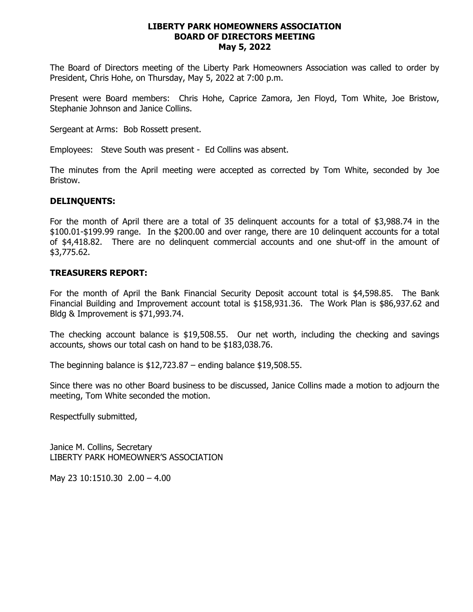#### **LIBERTY PARK HOMEOWNERS ASSOCIATION BOARD OF DIRECTORS MEETING May 5, 2022**

The Board of Directors meeting of the Liberty Park Homeowners Association was called to order by President, Chris Hohe, on Thursday, May 5, 2022 at 7:00 p.m.

Present were Board members: Chris Hohe, Caprice Zamora, Jen Floyd, Tom White, Joe Bristow, Stephanie Johnson and Janice Collins.

Sergeant at Arms: Bob Rossett present.

Employees: Steve South was present - Ed Collins was absent.

The minutes from the April meeting were accepted as corrected by Tom White, seconded by Joe Bristow.

#### **DELINQUENTS:**

For the month of April there are a total of 35 delinquent accounts for a total of \$3,988.74 in the \$100.01-\$199.99 range. In the \$200.00 and over range, there are 10 delinquent accounts for a total of \$4,418.82. There are no delinquent commercial accounts and one shut-off in the amount of \$3,775.62.

#### **TREASURERS REPORT:**

For the month of April the Bank Financial Security Deposit account total is \$4,598.85. The Bank Financial Building and Improvement account total is \$158,931.36. The Work Plan is \$86,937.62 and Bldg & Improvement is \$71,993.74.

The checking account balance is \$19,508.55. Our net worth, including the checking and savings accounts, shows our total cash on hand to be \$183,038.76.

The beginning balance is \$12,723.87 – ending balance \$19,508.55.

Since there was no other Board business to be discussed, Janice Collins made a motion to adjourn the meeting, Tom White seconded the motion.

Respectfully submitted,

Janice M. Collins, Secretary LIBERTY PARK HOMEOWNER'S ASSOCIATION

May 23 10:1510.30 2.00 – 4.00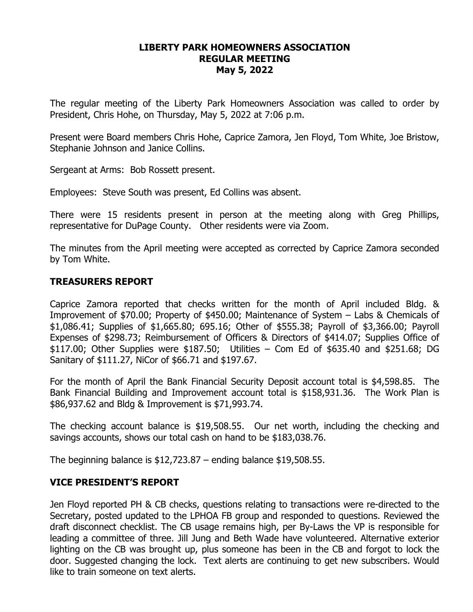# **LIBERTY PARK HOMEOWNERS ASSOCIATION REGULAR MEETING May 5, 2022**

The regular meeting of the Liberty Park Homeowners Association was called to order by President, Chris Hohe, on Thursday, May 5, 2022 at 7:06 p.m.

Present were Board members Chris Hohe, Caprice Zamora, Jen Floyd, Tom White, Joe Bristow, Stephanie Johnson and Janice Collins.

Sergeant at Arms: Bob Rossett present.

Employees: Steve South was present, Ed Collins was absent.

There were 15 residents present in person at the meeting along with Greg Phillips, representative for DuPage County. Other residents were via Zoom.

The minutes from the April meeting were accepted as corrected by Caprice Zamora seconded by Tom White.

# **TREASURERS REPORT**

Caprice Zamora reported that checks written for the month of April included Bldg. & Improvement of \$70.00; Property of \$450.00; Maintenance of System – Labs & Chemicals of \$1,086.41; Supplies of \$1,665.80; 695.16; Other of \$555.38; Payroll of \$3,366.00; Payroll Expenses of \$298.73; Reimbursement of Officers & Directors of \$414.07; Supplies Office of \$117.00; Other Supplies were \$187.50; Utilities – Com Ed of \$635.40 and \$251.68; DG Sanitary of \$111.27, NiCor of \$66.71 and \$197.67.

For the month of April the Bank Financial Security Deposit account total is \$4,598.85. The Bank Financial Building and Improvement account total is \$158,931.36. The Work Plan is \$86,937.62 and Bldg & Improvement is \$71,993.74.

The checking account balance is \$19,508.55. Our net worth, including the checking and savings accounts, shows our total cash on hand to be \$183,038.76.

The beginning balance is  $$12,723.87$  – ending balance  $$19,508.55$ .

### **VICE PRESIDENT'S REPORT**

Jen Floyd reported PH & CB checks, questions relating to transactions were re-directed to the Secretary, posted updated to the LPHOA FB group and responded to questions. Reviewed the draft disconnect checklist. The CB usage remains high, per By-Laws the VP is responsible for leading a committee of three. Jill Jung and Beth Wade have volunteered. Alternative exterior lighting on the CB was brought up, plus someone has been in the CB and forgot to lock the door. Suggested changing the lock. Text alerts are continuing to get new subscribers. Would like to train someone on text alerts.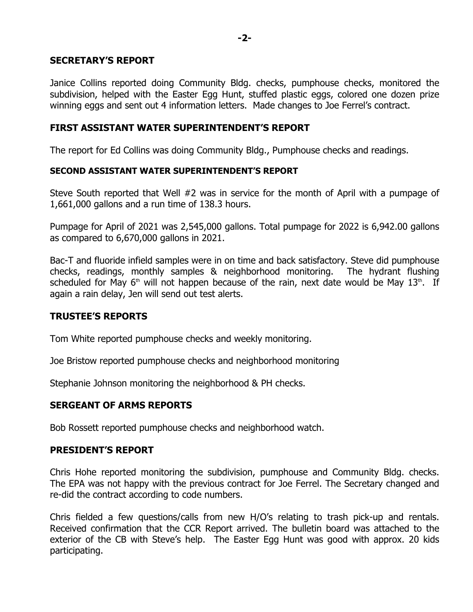## **SECRETARY'S REPORT**

Janice Collins reported doing Community Bldg. checks, pumphouse checks, monitored the subdivision, helped with the Easter Egg Hunt, stuffed plastic eggs, colored one dozen prize winning eggs and sent out 4 information letters. Made changes to Joe Ferrel's contract.

# **FIRST ASSISTANT WATER SUPERINTENDENT'S REPORT**

The report for Ed Collins was doing Community Bldg., Pumphouse checks and readings.

### **SECOND ASSISTANT WATER SUPERINTENDENT'S REPORT**

Steve South reported that Well #2 was in service for the month of April with a pumpage of 1,661,000 gallons and a run time of 138.3 hours.

Pumpage for April of 2021 was 2,545,000 gallons. Total pumpage for 2022 is 6,942.00 gallons as compared to 6,670,000 gallons in 2021.

Bac-T and fluoride infield samples were in on time and back satisfactory. Steve did pumphouse checks, readings, monthly samples & neighborhood monitoring. The hydrant flushing scheduled for May 6<sup>th</sup> will not happen because of the rain, next date would be May 13<sup>th</sup>. If again a rain delay, Jen will send out test alerts.

# **TRUSTEE'S REPORTS**

Tom White reported pumphouse checks and weekly monitoring.

Joe Bristow reported pumphouse checks and neighborhood monitoring

Stephanie Johnson monitoring the neighborhood & PH checks.

# **SERGEANT OF ARMS REPORTS**

Bob Rossett reported pumphouse checks and neighborhood watch.

# **PRESIDENT'S REPORT**

Chris Hohe reported monitoring the subdivision, pumphouse and Community Bldg. checks. The EPA was not happy with the previous contract for Joe Ferrel. The Secretary changed and re-did the contract according to code numbers.

Chris fielded a few questions/calls from new H/O's relating to trash pick-up and rentals. Received confirmation that the CCR Report arrived. The bulletin board was attached to the exterior of the CB with Steve's help. The Easter Egg Hunt was good with approx. 20 kids participating.